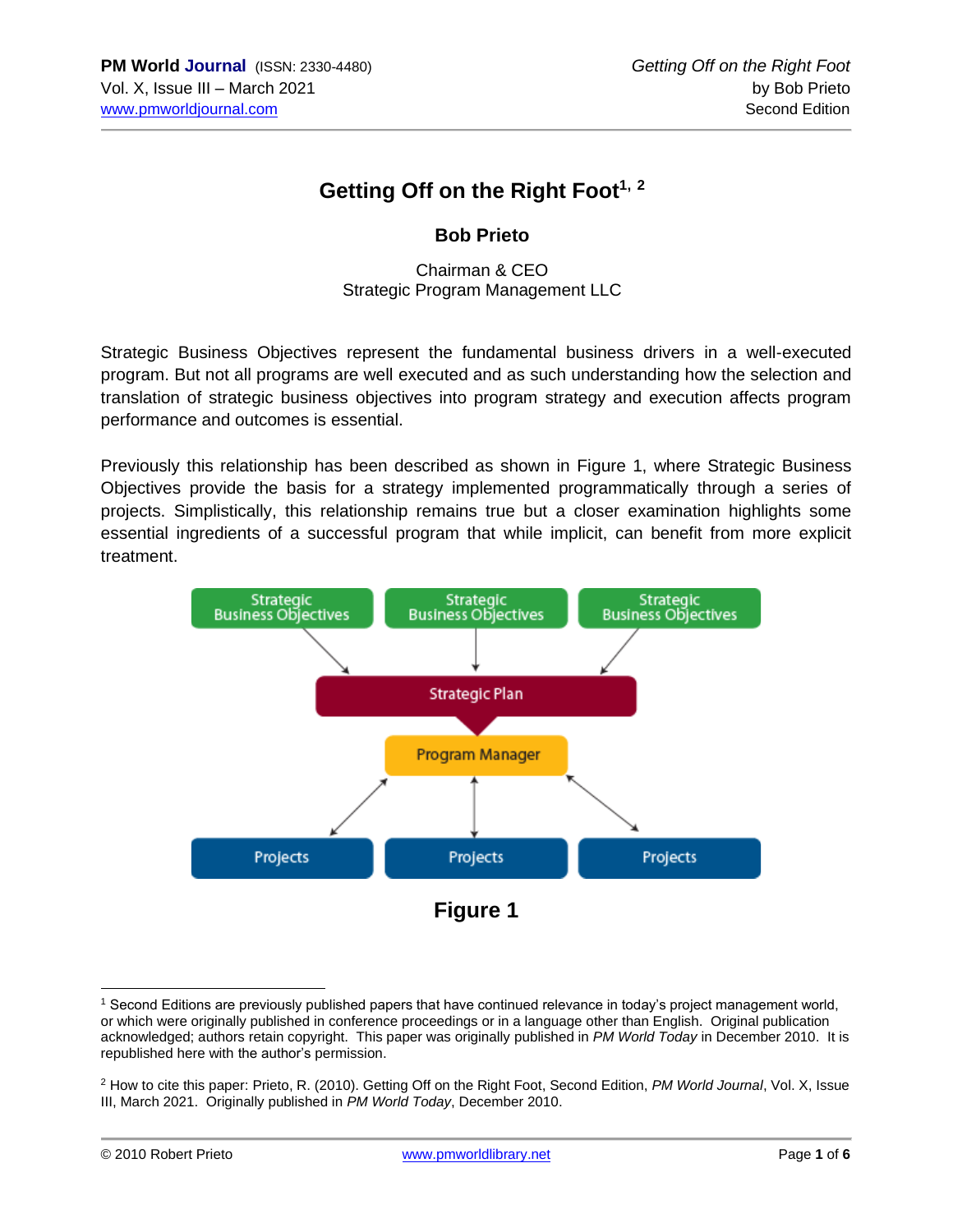# **Getting Off on the Right Foot1, <sup>2</sup>**

#### **Bob Prieto**

Chairman & CEO Strategic Program Management LLC

Strategic Business Objectives represent the fundamental business drivers in a well-executed program. But not all programs are well executed and as such understanding how the selection and translation of strategic business objectives into program strategy and execution affects program performance and outcomes is essential.

Previously this relationship has been described as shown in Figure 1, where Strategic Business Objectives provide the basis for a strategy implemented programmatically through a series of projects. Simplistically, this relationship remains true but a closer examination highlights some essential ingredients of a successful program that while implicit, can benefit from more explicit treatment.



<sup>1</sup> Second Editions are previously published papers that have continued relevance in today's project management world, or which were originally published in conference proceedings or in a language other than English. Original publication acknowledged; authors retain copyright. This paper was originally published in *PM World Today* in December 2010. It is republished here with the author's permission.

<sup>2</sup> How to cite this paper: Prieto, R. (2010). Getting Off on the Right Foot, Second Edition, *PM World Journal*, Vol. X, Issue III, March 2021. Originally published in *PM World Today*, December 2010.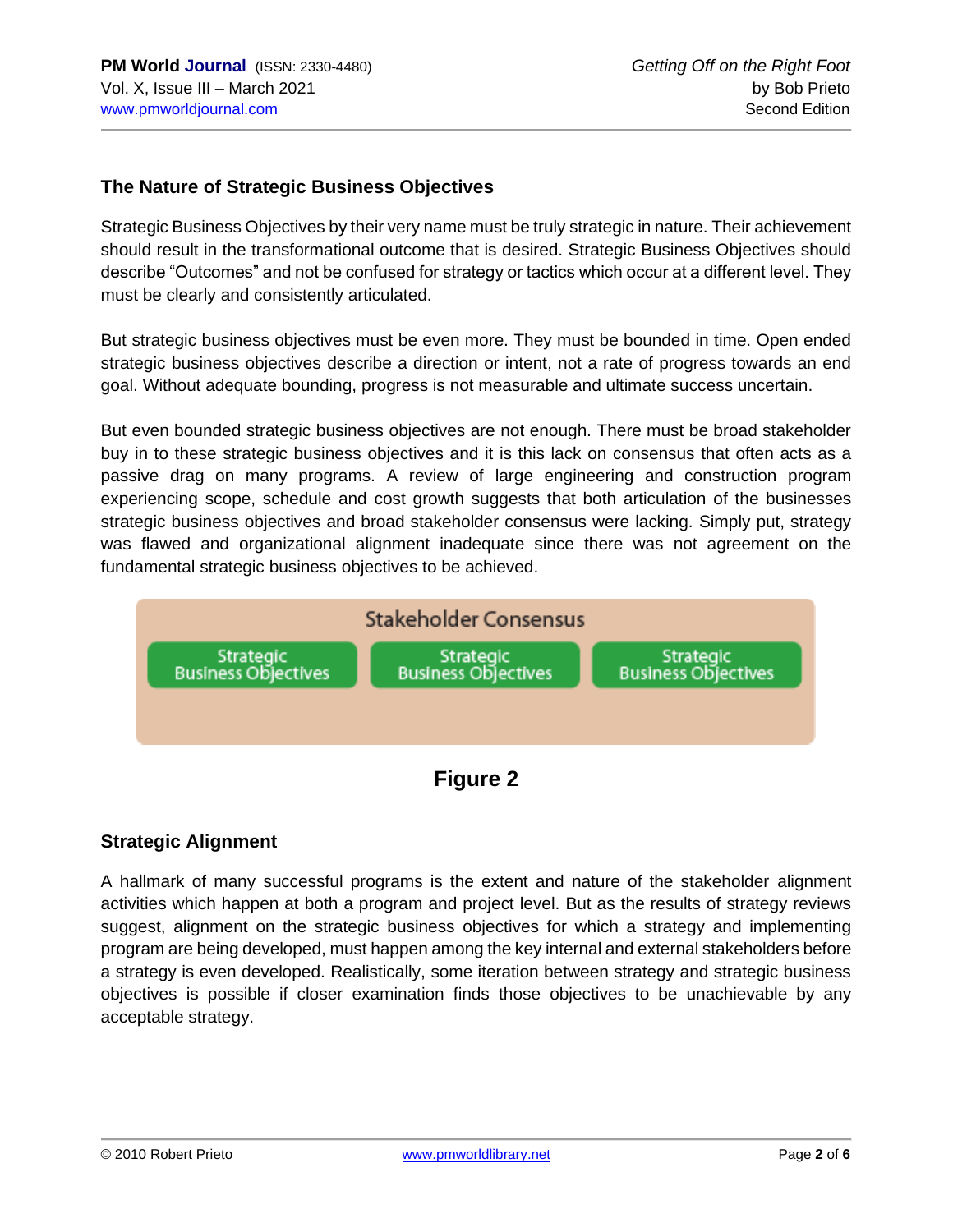#### **The Nature of Strategic Business Objectives**

Strategic Business Objectives by their very name must be truly strategic in nature. Their achievement should result in the transformational outcome that is desired. Strategic Business Objectives should describe "Outcomes" and not be confused for strategy or tactics which occur at a different level. They must be clearly and consistently articulated.

But strategic business objectives must be even more. They must be bounded in time. Open ended strategic business objectives describe a direction or intent, not a rate of progress towards an end goal. Without adequate bounding, progress is not measurable and ultimate success uncertain.

But even bounded strategic business objectives are not enough. There must be broad stakeholder buy in to these strategic business objectives and it is this lack on consensus that often acts as a passive drag on many programs. A review of large engineering and construction program experiencing scope, schedule and cost growth suggests that both articulation of the businesses strategic business objectives and broad stakeholder consensus were lacking. Simply put, strategy was flawed and organizational alignment inadequate since there was not agreement on the fundamental strategic business objectives to be achieved.



**Figure 2**

### **Strategic Alignment**

A hallmark of many successful programs is the extent and nature of the stakeholder alignment activities which happen at both a program and project level. But as the results of strategy reviews suggest, alignment on the strategic business objectives for which a strategy and implementing program are being developed, must happen among the key internal and external stakeholders before a strategy is even developed. Realistically, some iteration between strategy and strategic business objectives is possible if closer examination finds those objectives to be unachievable by any acceptable strategy.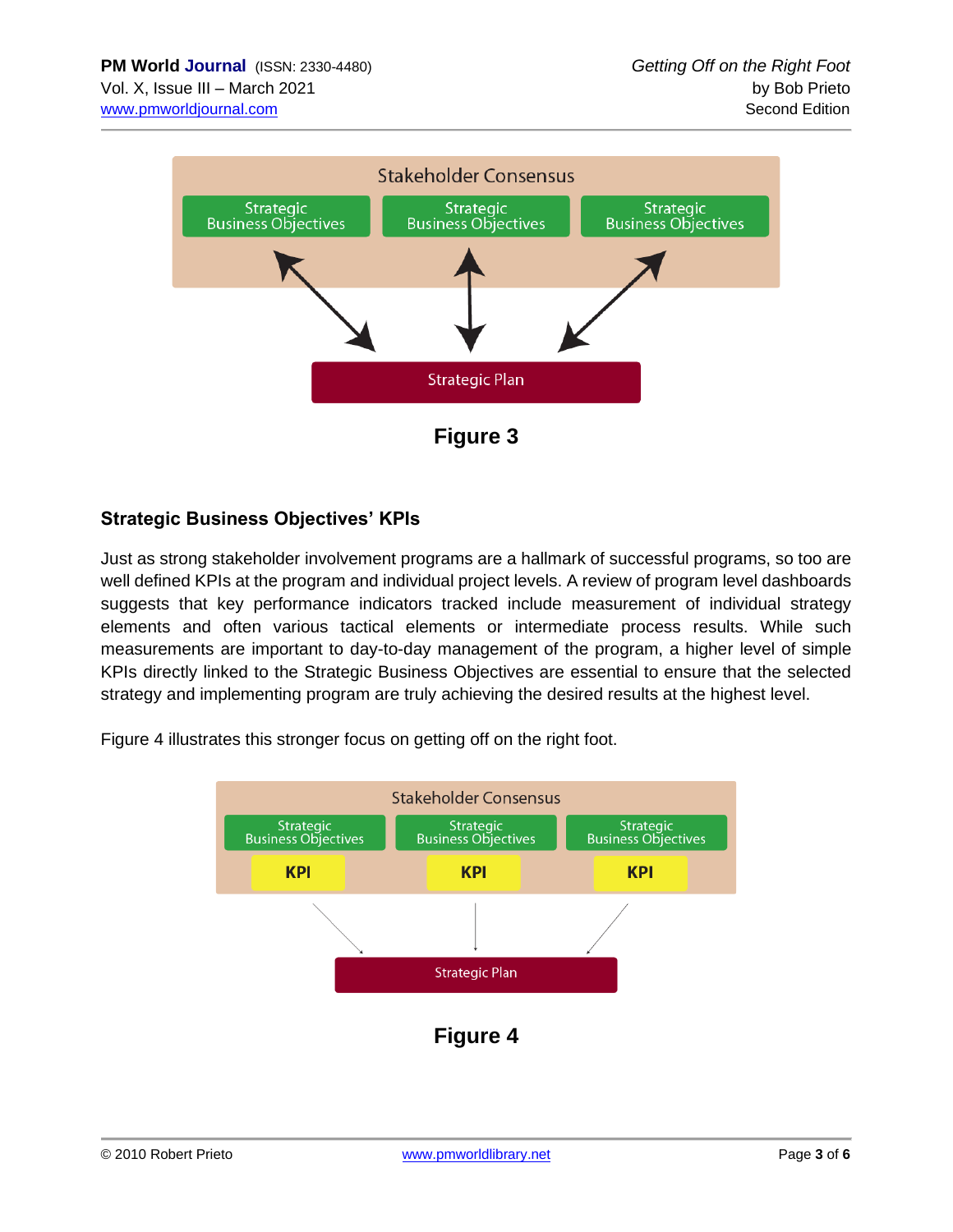

**Figure 3**

## **Strategic Business Objectives' KPIs**

Just as strong stakeholder involvement programs are a hallmark of successful programs, so too are well defined KPIs at the program and individual project levels. A review of program level dashboards suggests that key performance indicators tracked include measurement of individual strategy elements and often various tactical elements or intermediate process results. While such measurements are important to day-to-day management of the program, a higher level of simple KPIs directly linked to the Strategic Business Objectives are essential to ensure that the selected strategy and implementing program are truly achieving the desired results at the highest level.

Figure 4 illustrates this stronger focus on getting off on the right foot.

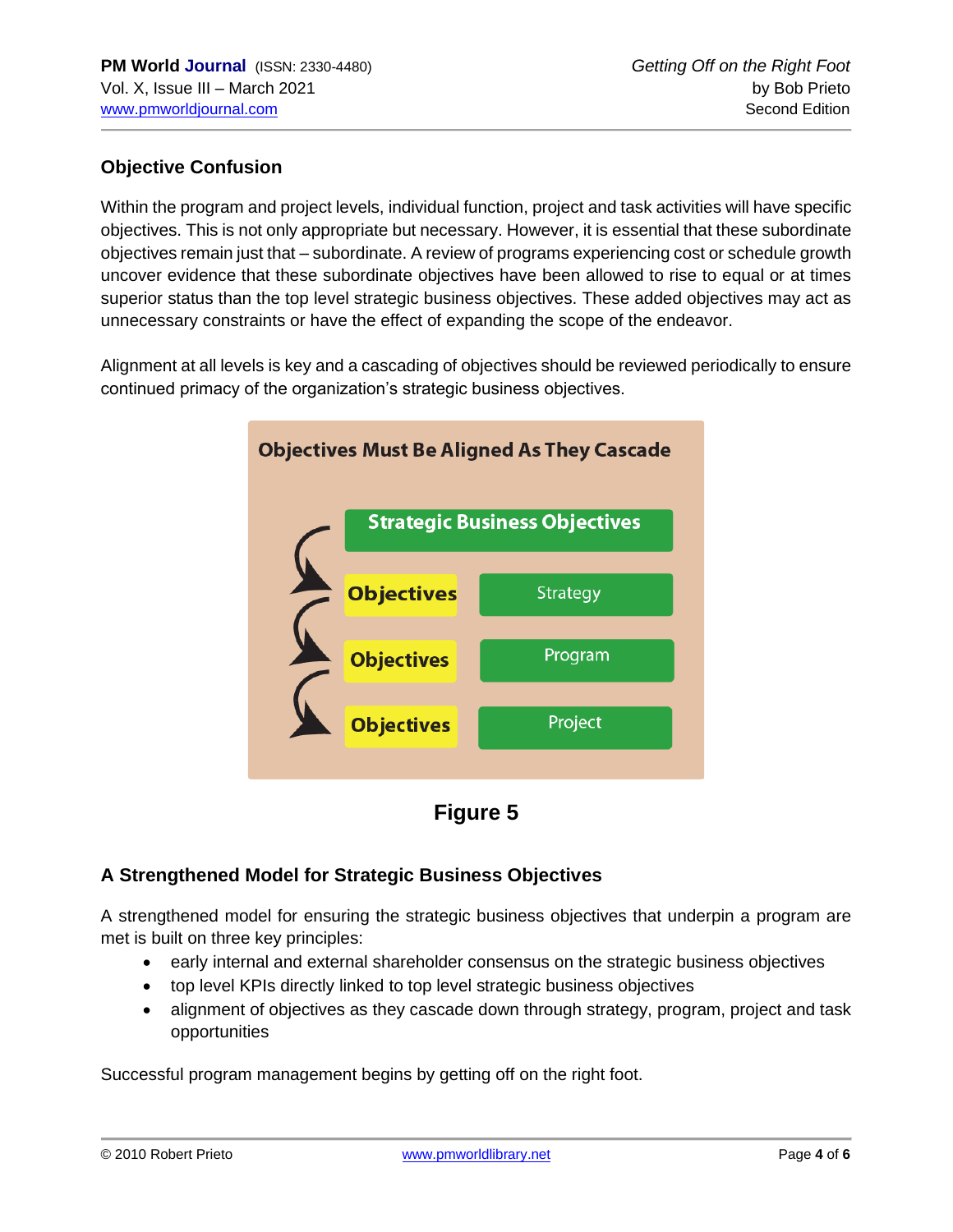## **Objective Confusion**

Within the program and project levels, individual function, project and task activities will have specific objectives. This is not only appropriate but necessary. However, it is essential that these subordinate objectives remain just that – subordinate. A review of programs experiencing cost or schedule growth uncover evidence that these subordinate objectives have been allowed to rise to equal or at times superior status than the top level strategic business objectives. These added objectives may act as unnecessary constraints or have the effect of expanding the scope of the endeavor.

Alignment at all levels is key and a cascading of objectives should be reviewed periodically to ensure continued primacy of the organization's strategic business objectives.





### **A Strengthened Model for Strategic Business Objectives**

A strengthened model for ensuring the strategic business objectives that underpin a program are met is built on three key principles:

- early internal and external shareholder consensus on the strategic business objectives
- top level KPIs directly linked to top level strategic business objectives
- alignment of objectives as they cascade down through strategy, program, project and task opportunities

Successful program management begins by getting off on the right foot.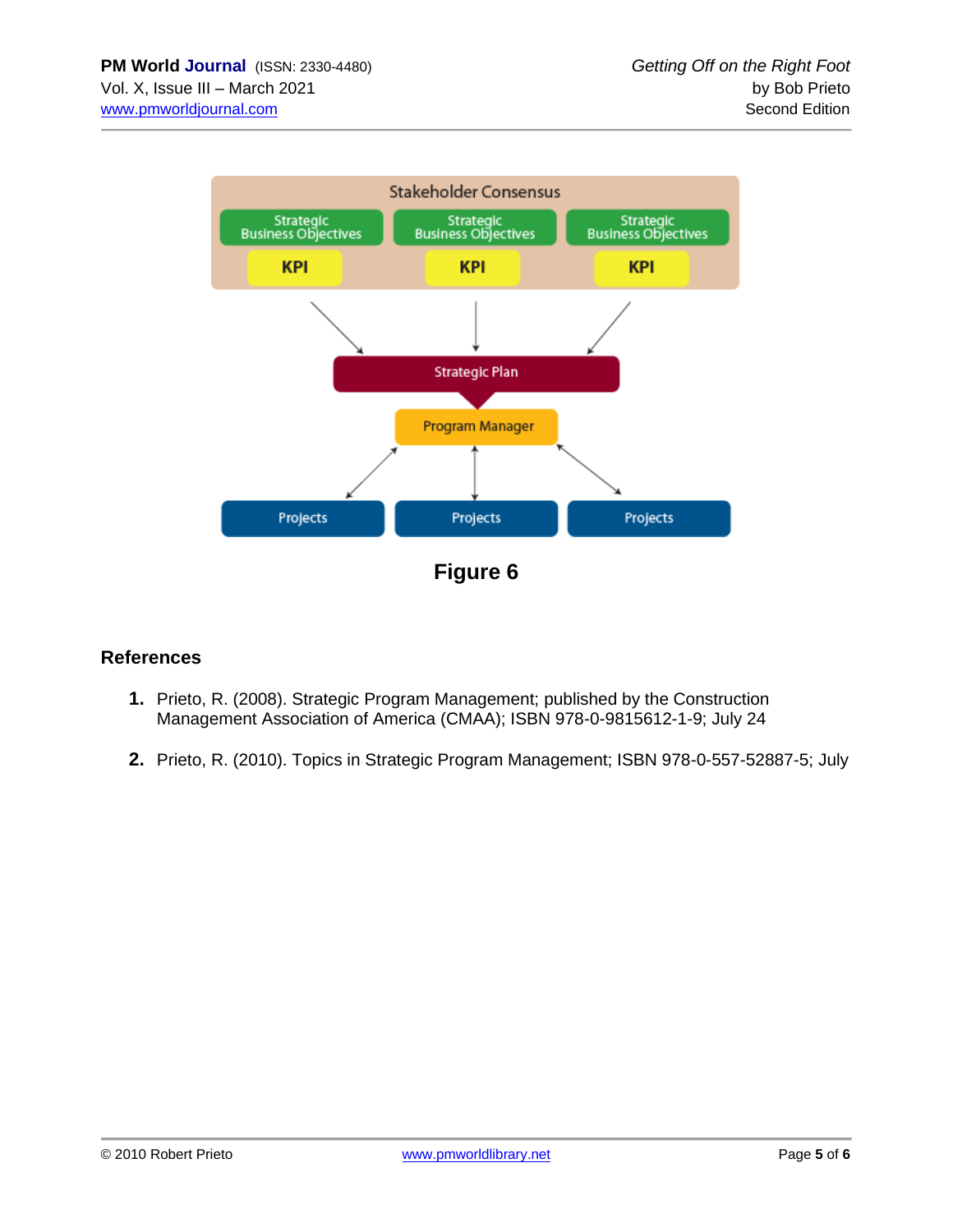

**Figure 6**

## **References**

- **1.** Prieto, R. (2008). Strategic Program Management; published by the Construction Management Association of America (CMAA); ISBN 978-0-9815612-1-9; July 24
- **2.** Prieto, R. (2010). Topics in Strategic Program Management; ISBN 978-0-557-52887-5; July